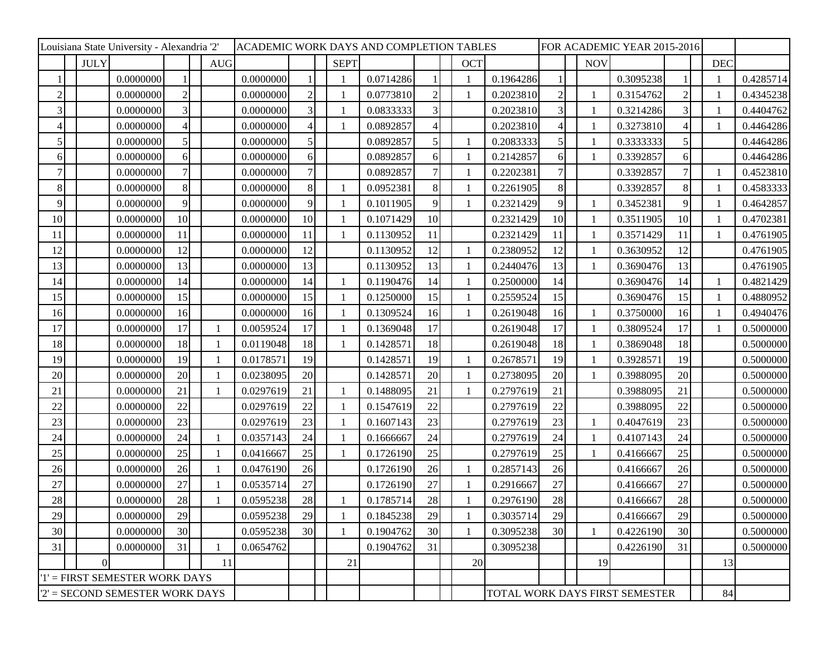| Louisiana State University - Alexandria '2' |             |           |                 |  |            |           |                |              | ACADEMIC WORK DAYS AND COMPLETION TABLES |                |  |              |                                | FOR ACADEMIC YEAR 2015-2016 |  |              |           |                          |  |            |           |
|---------------------------------------------|-------------|-----------|-----------------|--|------------|-----------|----------------|--------------|------------------------------------------|----------------|--|--------------|--------------------------------|-----------------------------|--|--------------|-----------|--------------------------|--|------------|-----------|
|                                             | <b>JULY</b> |           |                 |  | <b>AUG</b> |           |                | <b>SEPT</b>  |                                          |                |  | <b>OCT</b>   |                                |                             |  | <b>NOV</b>   |           |                          |  | <b>DEC</b> |           |
|                                             |             | 0.0000000 |                 |  |            | 0.0000000 |                |              | 0.0714286                                |                |  |              | 0.1964286                      |                             |  |              | 0.3095238 |                          |  |            | 0.4285714 |
| $\overline{2}$                              |             | 0.0000000 | $\overline{2}$  |  |            | 0.0000000 | $\overline{2}$ |              | 0.0773810                                | $\overline{2}$ |  |              | 0.2023810                      | $\overline{2}$              |  | $\mathbf{1}$ | 0.3154762 | $\overline{2}$           |  |            | 0.4345238 |
| 3                                           |             | 0.0000000 | 3               |  |            | 0.0000000 | $\overline{3}$ |              | 0.0833333                                | 3              |  |              | 0.2023810                      | $\overline{3}$              |  | $\mathbf{1}$ | 0.3214286 | 3                        |  |            | 0.4404762 |
|                                             |             | 0.0000000 |                 |  |            | 0.0000000 | 4              |              | 0.0892857                                | 4              |  |              | 0.2023810                      |                             |  |              | 0.3273810 | $\overline{\mathcal{A}}$ |  |            | 0.4464286 |
| 5                                           |             | 0.0000000 |                 |  |            | 0.0000000 | 5 <sup>1</sup> |              | 0.0892857                                | 5              |  |              | 0.2083333                      | 5                           |  | -1           | 0.3333333 | 5                        |  |            | 0.4464286 |
| 6                                           |             | 0.0000000 | 6               |  |            | 0.0000000 | 6 <sup>1</sup> |              | 0.0892857                                | 6              |  |              | 0.2142857                      | 6                           |  | $\mathbf{1}$ | 0.3392857 | 6                        |  |            | 0.4464286 |
|                                             |             | 0.0000000 |                 |  |            | 0.0000000 | 7              |              | 0.0892857                                | 7              |  |              | 0.2202381                      | 7                           |  |              | 0.3392857 | 7                        |  |            | 0.4523810 |
| 8                                           |             | 0.0000000 | 8               |  |            | 0.0000000 | 8              |              | 0.0952381                                | 8              |  |              | 0.2261905                      | 8                           |  |              | 0.3392857 | 8                        |  |            | 0.4583333 |
| 9                                           |             | 0.0000000 | 9               |  |            | 0.0000000 | 9              |              | 0.1011905                                | 9              |  |              | 0.2321429                      | 9                           |  | -1           | 0.3452381 | 9                        |  |            | 0.4642857 |
| 10                                          |             | 0.0000000 | 10              |  |            | 0.0000000 | 10             |              | 0.1071429                                | 10             |  |              | 0.2321429                      | 10                          |  | $\mathbf{1}$ | 0.3511905 | 10                       |  |            | 0.4702381 |
| 11                                          |             | 0.0000000 | 11              |  |            | 0.0000000 | 11             |              | 0.1130952                                | 11             |  |              | 0.2321429                      | 11                          |  | -1           | 0.3571429 | 11                       |  |            | 0.4761905 |
| 12                                          |             | 0.0000000 | 12              |  |            | 0.0000000 | 12             |              | 0.1130952                                | 12             |  | $\mathbf{1}$ | 0.2380952                      | 12                          |  | $\mathbf{1}$ | 0.3630952 | 12                       |  |            | 0.4761905 |
| 13                                          |             | 0.0000000 | 13              |  |            | 0.0000000 | 13             |              | 0.1130952                                | 13             |  |              | 0.2440476                      | 13                          |  | -1           | 0.3690476 | 13                       |  |            | 0.4761905 |
| 14                                          |             | 0.0000000 | 14              |  |            | 0.0000000 | 14             |              | 0.1190476                                | 14             |  |              | 0.2500000                      | 14                          |  |              | 0.3690476 | 14                       |  |            | 0.4821429 |
| 15                                          |             | 0.0000000 | 15              |  |            | 0.0000000 | 15             |              | 0.1250000                                | 15             |  |              | 0.2559524                      | 15                          |  |              | 0.3690476 | 15                       |  |            | 0.4880952 |
| 16                                          |             | 0.0000000 | 16              |  |            | 0.0000000 | 16             |              | 0.1309524                                | 16             |  |              | 0.2619048                      | 16                          |  |              | 0.3750000 | 16                       |  |            | 0.4940476 |
| 17                                          |             | 0.0000000 | 17              |  |            | 0.0059524 | 17             |              | 0.1369048                                | 17             |  |              | 0.2619048                      | 17                          |  |              | 0.3809524 | 17                       |  |            | 0.5000000 |
| 18                                          |             | 0.0000000 | 18              |  |            | 0.0119048 | 18             |              | 0.1428571                                | 18             |  |              | 0.2619048                      | 18                          |  | -1           | 0.3869048 | 18                       |  |            | 0.5000000 |
| 19                                          |             | 0.0000000 | 19              |  |            | 0.0178571 | 19             |              | 0.1428571                                | 19             |  |              | 0.2678571                      | 19                          |  | $\mathbf{1}$ | 0.3928571 | 19                       |  |            | 0.5000000 |
| 20                                          |             | 0.0000000 | 20              |  |            | 0.0238095 | 20             |              | 0.1428571                                | 20             |  |              | 0.2738095                      | 20                          |  | -1           | 0.3988095 | 20                       |  |            | 0.5000000 |
| 21                                          |             | 0.0000000 | 21              |  |            | 0.0297619 | 21             |              | 0.1488095                                | 21             |  |              | 0.2797619                      | 21                          |  |              | 0.3988095 | 21                       |  |            | 0.5000000 |
| 22                                          |             | 0.0000000 | 22              |  |            | 0.0297619 | 22             |              | 0.1547619                                | 22             |  |              | 0.2797619                      | 22                          |  |              | 0.3988095 | 22                       |  |            | 0.5000000 |
| 23                                          |             | 0.0000000 | 23              |  |            | 0.0297619 | 23             |              | 0.1607143                                | 23             |  |              | 0.2797619                      | 23                          |  | $\mathbf{1}$ | 0.4047619 | 23                       |  |            | 0.5000000 |
| 24                                          |             | 0.0000000 | 24              |  |            | 0.0357143 | 24             |              | 0.1666667                                | 24             |  |              | 0.2797619                      | 24                          |  | 1            | 0.4107143 | 24                       |  |            | 0.5000000 |
| 25                                          |             | 0.0000000 | 25              |  |            | 0.0416667 | 25             |              | 0.1726190                                | 25             |  |              | 0.2797619                      | 25                          |  | $\mathbf{1}$ | 0.4166667 | 25                       |  |            | 0.5000000 |
| 26                                          |             | 0.0000000 | 26              |  |            | 0.0476190 | 26             |              | 0.1726190                                | 26             |  |              | 0.2857143                      | 26                          |  |              | 0.4166667 | 26                       |  |            | 0.5000000 |
| 27                                          |             | 0.0000000 | 27              |  |            | 0.0535714 | 27             |              | 0.1726190                                | 27             |  |              | 0.2916667                      | 27                          |  |              | 0.4166667 | 27                       |  |            | 0.5000000 |
| 28                                          |             | 0.0000000 | 28              |  |            | 0.0595238 | 28             |              | 0.1785714                                | 28             |  |              | 0.2976190                      | $28\,$                      |  |              | 0.4166667 | 28                       |  |            | 0.5000000 |
| 29                                          |             | 0.0000000 | 29              |  |            | 0.0595238 | 29             |              | 0.1845238                                | 29             |  |              | 0.3035714                      | 29                          |  |              | 0.4166667 | 29                       |  |            | 0.5000000 |
| 30                                          |             | 0.0000000 | 30 <sup>l</sup> |  |            | 0.0595238 | 30             | $\mathbf{1}$ | 0.1904762                                | 30             |  | $\mathbf{1}$ | 0.3095238                      | 30                          |  | $\mathbf{1}$ | 0.4226190 | 30                       |  |            | 0.5000000 |
| 31                                          |             | 0.0000000 | 31              |  |            | 0.0654762 |                |              | 0.1904762                                | 31             |  |              | 0.3095238                      |                             |  |              | 0.4226190 | 31                       |  |            | 0.5000000 |
|                                             | $\theta$    |           |                 |  | 11         |           |                | 21           |                                          |                |  | 20           |                                |                             |  | 19           |           |                          |  | 13         |           |
| '1' = FIRST SEMESTER WORK DAYS              |             |           |                 |  |            |           |                |              |                                          |                |  |              |                                |                             |  |              |           |                          |  |            |           |
| $2'$ = SECOND SEMESTER WORK DAYS            |             |           |                 |  |            |           |                |              |                                          |                |  |              | TOTAL WORK DAYS FIRST SEMESTER |                             |  |              |           |                          |  | 84         |           |